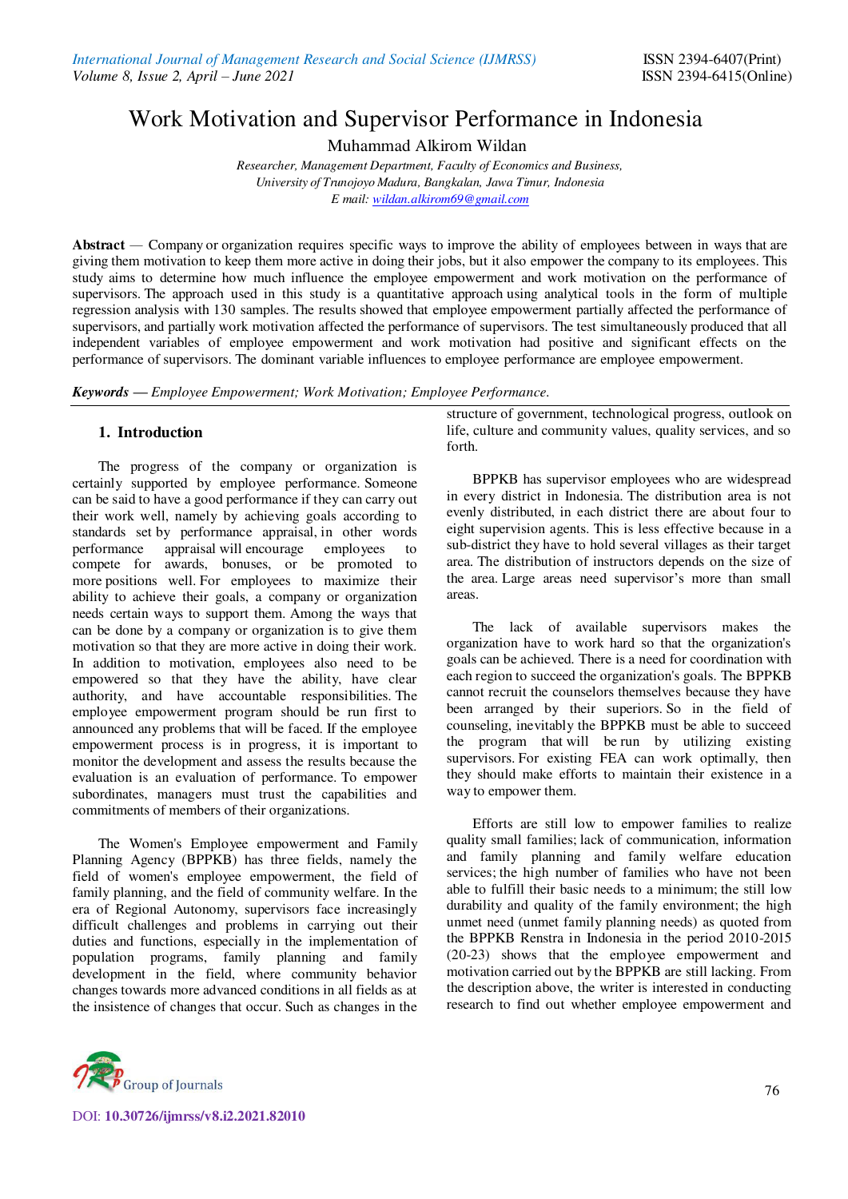# Work Motivation and Supervisor Performance in Indonesia

Muhammad Alkirom Wildan

*Researcher, Management Department, Faculty of Economics and Business, University of Trunojoyo Madura, Bangkalan, Jawa Timur, Indonesia E mail[: wildan.alkirom69@gmail.com](mailto:wildan.alkirom69@gmail.com)*

**Abstract** *—* Company or organization requires specific ways to improve the ability of employees between in ways that are giving them motivation to keep them more active in doing their jobs, but it also empower the company to its employees. This study aims to determine how much influence the employee empowerment and work motivation on the performance of supervisors. The approach used in this study is a quantitative approach using analytical tools in the form of multiple regression analysis with 130 samples. The results showed that employee empowerment partially affected the performance of supervisors, and partially work motivation affected the performance of supervisors. The test simultaneously produced that all independent variables of employee empowerment and work motivation had positive and significant effects on the performance of supervisors. The dominant variable influences to employee performance are employee empowerment.

*Keywords — Employee Empowerment; Work Motivation; Employee Performance.* 

# **1. Introduction**

The progress of the company or organization is certainly supported by employee performance. Someone can be said to have a good performance if they can carry out their work well, namely by achieving goals according to standards set by performance appraisal, in other words<br>performance appraisal will encourage employees to appraisal will encourage employees to compete for awards, bonuses, or be promoted to more positions well. For employees to maximize their ability to achieve their goals, a company or organization needs certain ways to support them. Among the ways that can be done by a company or organization is to give them motivation so that they are more active in doing their work. In addition to motivation, employees also need to be empowered so that they have the ability, have clear authority, and have accountable responsibilities. The employee empowerment program should be run first to announced any problems that will be faced. If the employee empowerment process is in progress, it is important to monitor the development and assess the results because the evaluation is an evaluation of performance. To empower subordinates, managers must trust the capabilities and commitments of members of their organizations.

The Women's Employee empowerment and Family Planning Agency (BPPKB) has three fields, namely the field of women's employee empowerment, the field of family planning, and the field of community welfare. In the era of Regional Autonomy, supervisors face increasingly difficult challenges and problems in carrying out their duties and functions, especially in the implementation of population programs, family planning and family development in the field, where community behavior changes towards more advanced conditions in all fields as at the insistence of changes that occur. Such as changes in the



BPPKB has supervisor employees who are widespread in every district in Indonesia. The distribution area is not evenly distributed, in each district there are about four to eight supervision agents. This is less effective because in a sub-district they have to hold several villages as their target area. The distribution of instructors depends on the size of the area. Large areas need supervisor's more than small areas.

The lack of available supervisors makes the organization have to work hard so that the organization's goals can be achieved. There is a need for coordination with each region to succeed the organization's goals. The BPPKB cannot recruit the counselors themselves because they have been arranged by their superiors. So in the field of counseling, inevitably the BPPKB must be able to succeed the program that will be run by utilizing existing supervisors. For existing FEA can work optimally, then they should make efforts to maintain their existence in a way to empower them.

Efforts are still low to empower families to realize quality small families; lack of communication, information and family planning and family welfare education services; the high number of families who have not been able to fulfill their basic needs to a minimum; the still low durability and quality of the family environment; the high unmet need (unmet family planning needs) as quoted from the BPPKB Renstra in Indonesia in the period 2010-2015 (20-23) shows that the employee empowerment and motivation carried out by the BPPKB are still lacking. From the description above, the writer is interested in conducting research to find out whether employee empowerment and



DOI: **10.30726/ijmrss/v8.i2.2021.82010**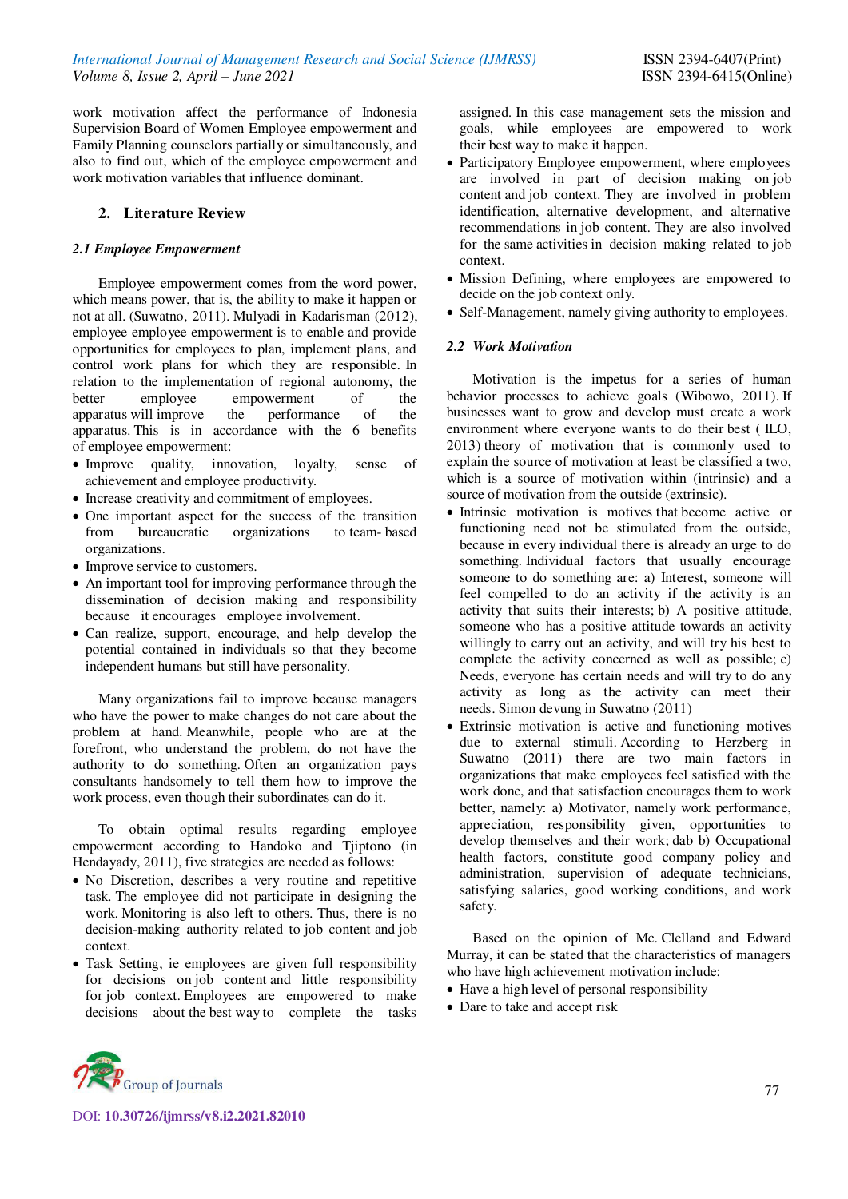work motivation affect the performance of Indonesia Supervision Board of Women Employee empowerment and Family Planning counselors partially or simultaneously, and also to find out, which of the employee empowerment and work motivation variables that influence dominant.

# **2. Literature Review**

## *2.1 Employee Empowerment*

Employee empowerment comes from the word power, which means power, that is, the ability to make it happen or not at all. (Suwatno, 2011). Mulyadi in Kadarisman (2012), employee employee empowerment is to enable and provide opportunities for employees to plan, implement plans, and control work plans for which they are responsible. In relation to the implementation of regional autonomy, the better employee empowerment of the apparatus will improve the performance of the apparatus. This is in accordance with the 6 benefits of employee empowerment:

- Improve quality, innovation, loyalty, sense of achievement and employee productivity.
- Increase creativity and commitment of employees.
- One important aspect for the success of the transition from bureaucratic organizations to team- based organizations.
- Improve service to customers.
- An important tool for improving performance through the dissemination of decision making and responsibility because it encourages employee involvement.
- Can realize, support, encourage, and help develop the potential contained in individuals so that they become independent humans but still have personality.

Many organizations fail to improve because managers who have the power to make changes do not care about the problem at hand. Meanwhile, people who are at the forefront, who understand the problem, do not have the authority to do something. Often an organization pays consultants handsomely to tell them how to improve the work process, even though their subordinates can do it.

To obtain optimal results regarding employee empowerment according to Handoko and Tjiptono (in Hendayady, 2011), five strategies are needed as follows:

- No Discretion, describes a very routine and repetitive task. The employee did not participate in designing the work. Monitoring is also left to others. Thus, there is no decision-making authority related to job content and job context.
- Task Setting, ie employees are given full responsibility for decisions on job content and little responsibility for job context. Employees are empowered to make decisions about the best way to complete the tasks

assigned. In this case management sets the mission and goals, while employees are empowered to work their best way to make it happen.

- Participatory Employee empowerment, where employees are involved in part of decision making on job content and job context. They are involved in problem identification, alternative development, and alternative recommendations in job content. They are also involved for the same activities in decision making related to job context.
- Mission Defining, where employees are empowered to decide on the job context only.
- Self-Management, namely giving authority to employees.

#### *2.2 Work Motivation*

Motivation is the impetus for a series of human behavior processes to achieve goals (Wibowo, 2011). If businesses want to grow and develop must create a work environment where everyone wants to do their best ( ILO, 2013) theory of motivation that is commonly used to explain the source of motivation at least be classified a two, which is a source of motivation within (intrinsic) and a source of motivation from the outside (extrinsic).

- Intrinsic motivation is motives that become active or functioning need not be stimulated from the outside, because in every individual there is already an urge to do something. Individual factors that usually encourage someone to do something are: a) Interest, someone will feel compelled to do an activity if the activity is an activity that suits their interests; b) A positive attitude, someone who has a positive attitude towards an activity willingly to carry out an activity, and will try his best to complete the activity concerned as well as possible; c) Needs, everyone has certain needs and will try to do any activity as long as the activity can meet their needs. Simon devung in Suwatno (2011)
- Extrinsic motivation is active and functioning motives due to external stimuli. According to Herzberg in Suwatno (2011) there are two main factors in organizations that make employees feel satisfied with the work done, and that satisfaction encourages them to work better, namely: a) Motivator, namely work performance, appreciation, responsibility given, opportunities to develop themselves and their work; dab b) Occupational health factors, constitute good company policy and administration, supervision of adequate technicians, satisfying salaries, good working conditions, and work safety.

Based on the opinion of Mc. Clelland and Edward Murray, it can be stated that the characteristics of managers who have high achievement motivation include:

- Have a high level of personal responsibility
- Dare to take and accept risk

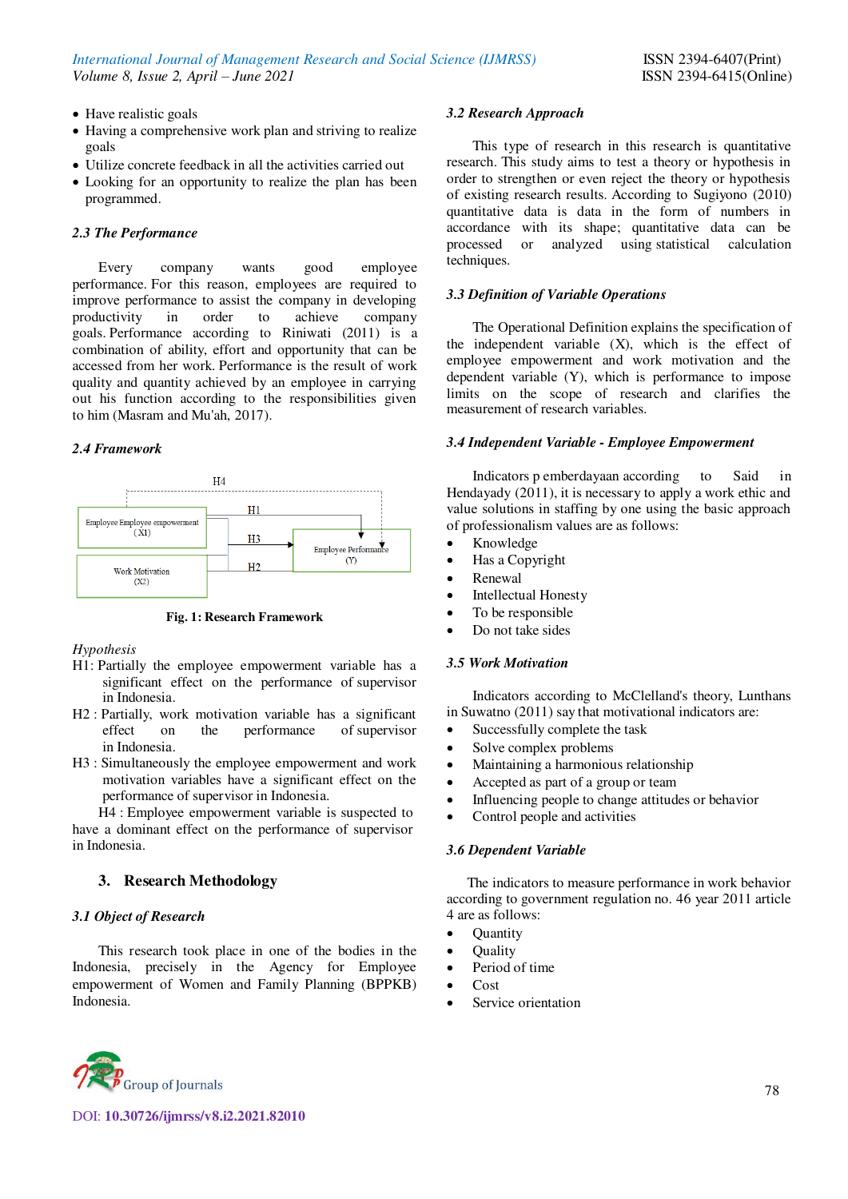- Have realistic goals
- Having a comprehensive work plan and striving to realize goals
- Utilize concrete feedback in all the activities carried out
- Looking for an opportunity to realize the plan has been programmed.

## *2.3 The Performance*

Every company wants good employee performance. For this reason, employees are required to improve performance to assist the company in developing productivity in order to achieve company goals. Performance according to Riniwati (2011) is a combination of ability, effort and opportunity that can be accessed from her work. Performance is the result of work quality and quantity achieved by an employee in carrying out his function according to the responsibilities given to him (Masram and Mu'ah, 2017).

# *2.4 Framework*



**Fig. 1: Research Framework** 

#### *Hypothesis*

- H1: Partially the employee empowerment variable has a significant effect on the performance of supervisor in Indonesia.
- H2 : Partially, work motivation variable has a significant effect on the performance of supervisor in Indonesia.
- H3 : Simultaneously the employee empowerment and work motivation variables have a significant effect on the performance of supervisor in Indonesia.

H4 : Employee empowerment variable is suspected to have a dominant effect on the performance of supervisor in Indonesia.

# **3. Research Methodology**

#### *3.1 Object of Research*

This research took place in one of the bodies in the Indonesia, precisely in the Agency for Employee empowerment of Women and Family Planning (BPPKB) Indonesia.

# *3.2 Research Approach*

This type of research in this research is quantitative research. This study aims to test a theory or hypothesis in order to strengthen or even reject the theory or hypothesis of existing research results. According to Sugiyono (2010) quantitative data is data in the form of numbers in accordance with its shape; quantitative data can be processed or analyzed using statistical calculation techniques.

# *3.3 Definition of Variable Operations*

The Operational Definition explains the specification of the independent variable (X), which is the effect of employee empowerment and work motivation and the dependent variable (Y), which is performance to impose limits on the scope of research and clarifies the measurement of research variables.

#### *3.4 Independent Variable - Employee Empowerment*

Indicators p emberdayaan according to Said in Hendayady (2011), it is necessary to apply a work ethic and value solutions in staffing by one using the basic approach of professionalism values are as follows:

- Knowledge
- Has a Copyright
- Renewal
- Intellectual Honesty
- To be responsible
- Do not take sides

#### *3.5 Work Motivation*

Indicators according to McClelland's theory, Lunthans in Suwatno (2011) say that motivational indicators are:

- Successfully complete the task
- Solve complex problems
- Maintaining a harmonious relationship
- Accepted as part of a group or team
- Influencing people to change attitudes or behavior
- Control people and activities

# *3.6 Dependent Variable*

The indicators to measure performance in work behavior according to government regulation no. 46 year 2011 article 4 are as follows:

- **Quantity**
- **Ouality** 
	- Period of time
	- Cost
	- Service orientation

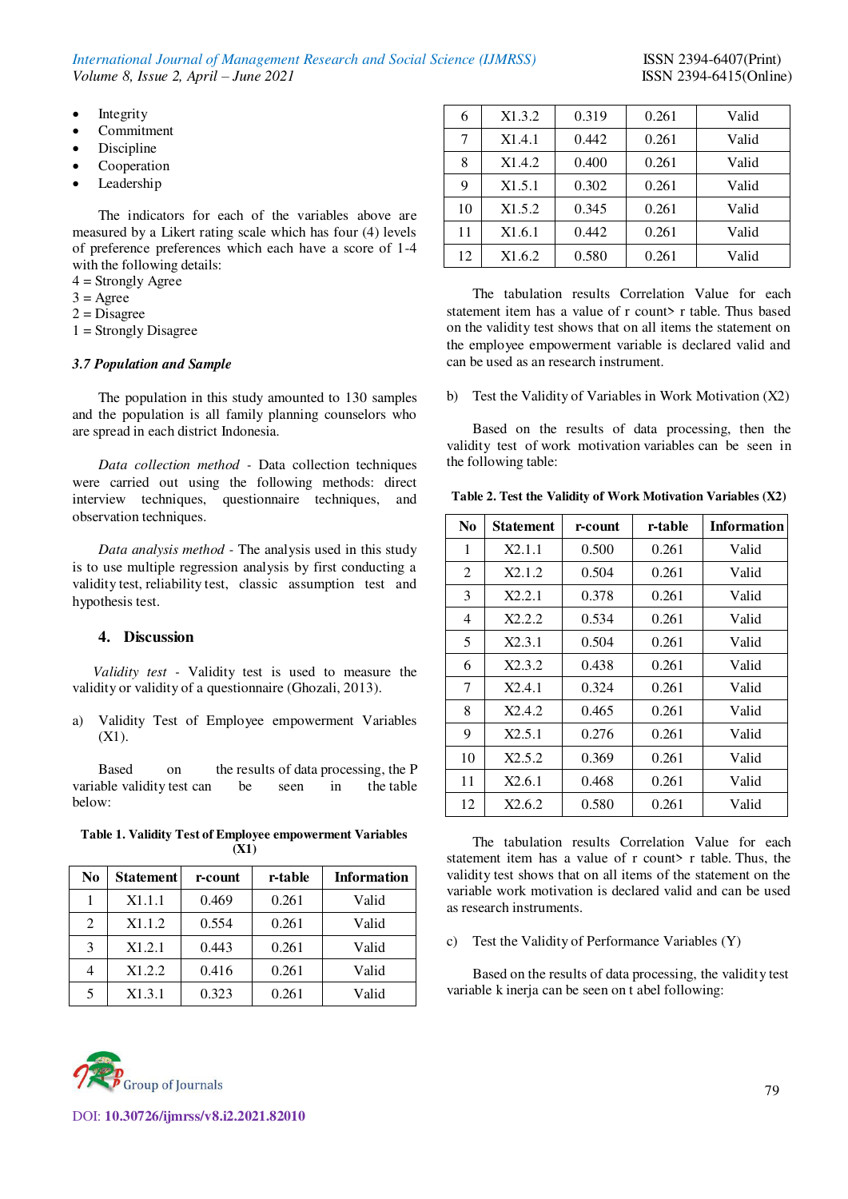*International Journal of Management Research and Social Science (IJMRSS)* ISSN 2394-6407(Print) *Volume 8, Issue 2, April – June 2021* ISSN 2394-6415(Online)

- $\bullet$  Integrity
- Commitment
- Discipline
- Cooperation
- Leadership

The indicators for each of the variables above are measured by a Likert rating scale which has four (4) levels of preference preferences which each have a score of 1-4 with the following details:

- $4 =$ Strongly Agree
- $3 = \text{Agree}$
- $2 = Disagree$
- 1 = Strongly Disagree

#### *3.7 Population and Sample*

The population in this study amounted to 130 samples and the population is all family planning counselors who are spread in each district Indonesia.

*Data collection method -* Data collection techniques were carried out using the following methods: direct interview techniques, questionnaire techniques, and observation techniques.

*Data analysis method -* The analysis used in this study is to use multiple regression analysis by first conducting a validity test, reliability test, classic assumption test and hypothesis test.

# **4. Discussion**

*Validity test -* Validity test is used to measure the validity or validity of a questionnaire (Ghozali, 2013).

a) Validity Test of Employee empowerment Variables (X1).

Based on the results of data processing, the P variable validity test can be seen in the table below:

| Table 1. Validity Test of Employee empowerment Variables |  |
|----------------------------------------------------------|--|
| <b>(X1)</b>                                              |  |

| No | <b>Statement</b> | r-count | r-table | <b>Information</b> |
|----|------------------|---------|---------|--------------------|
|    | X1.1.1           | 0.469   | 0.261   | Valid              |
| 2  | X1.1.2           | 0.554   | 0.261   | Valid              |
| 3  | X1.2.1           | 0.443   | 0.261   | Valid              |
| 4  | X1.2.2           | 0.416   | 0.261   | Valid              |
| 5  | X1.3.1           | 0.323   | 0.261   | Valid              |



The tabulation results Correlation Value for each statement item has a value of r count > r table. Thus based on the validity test shows that on all items the statement on the employee empowerment variable is declared valid and can be used as an research instrument.

b) Test the Validity of Variables in Work Motivation (X2)

Based on the results of data processing, then the validity test of work motivation variables can be seen in the following table:

| $\mathbf{N}\mathbf{0}$ | <b>Statement</b> | r-count | r-table | <b>Information</b> |
|------------------------|------------------|---------|---------|--------------------|
| 1                      | X2.1.1           | 0.500   | 0.261   | Valid              |
| 2                      | X2.1.2           | 0.504   | 0.261   | Valid              |
| 3                      | X2.2.1           | 0.378   | 0.261   | Valid              |
| 4                      | X2.2.2           | 0.534   | 0.261   | Valid              |
| 5                      | X2.3.1           | 0.504   | 0.261   | Valid              |
| 6                      | X2.3.2           | 0.438   | 0.261   | Valid              |
| 7                      | X2.4.1           | 0.324   | 0.261   | Valid              |
| 8                      | X2.4.2           | 0.465   | 0.261   | Valid              |
| 9                      | X2.5.1           | 0.276   | 0.261   | Valid              |
| 10                     | X2.5.2           | 0.369   | 0.261   | Valid              |
| 11                     | X2.6.1           | 0.468   | 0.261   | Valid              |
| 12                     | X2.6.2           | 0.580   | 0.261   | Valid              |

The tabulation results Correlation Value for each statement item has a value of r count> r table. Thus, the validity test shows that on all items of the statement on the variable work motivation is declared valid and can be used as research instruments.

# c) Test the Validity of Performance Variables (Y)

Based on the results of data processing, the validity test variable k inerja can be seen on t abel following:

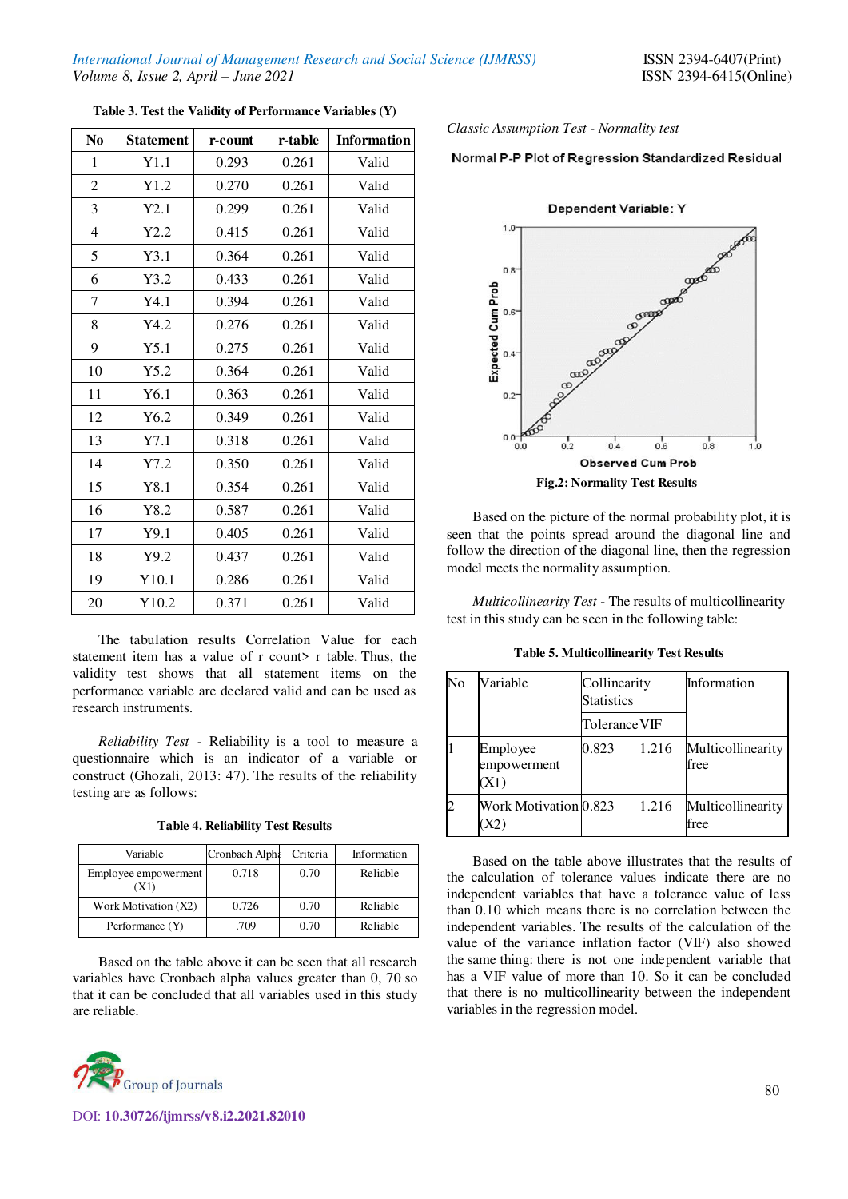| N <sub>0</sub> | <b>Statement</b> | r-count | r-table | <b>Information</b> |
|----------------|------------------|---------|---------|--------------------|
| $\mathbf{1}$   | Y1.1             | 0.293   | 0.261   | Valid              |
| 2              | Y1.2             | 0.270   | 0.261   | Valid              |
| 3              | Y2.1             | 0.299   | 0.261   | Valid              |
| $\overline{4}$ | Y2.2             | 0.415   | 0.261   | Valid              |
| 5              | Y3.1             | 0.364   | 0.261   | Valid              |
| 6              | Y3.2             | 0.433   | 0.261   | Valid              |
| 7              | Y4.1             | 0.394   | 0.261   | Valid              |
| 8              | Y4.2             | 0.276   | 0.261   | Valid              |
| 9              | Y5.1             | 0.275   | 0.261   | Valid              |
| 10             | Y5.2             | 0.364   | 0.261   | Valid              |
| 11             | Y6.1             | 0.363   | 0.261   | Valid              |
| 12             | Y6.2             | 0.349   | 0.261   | Valid              |
| 13             | Y7.1             | 0.318   | 0.261   | Valid              |
| 14             | Y7.2             | 0.350   | 0.261   | Valid              |
| 15             | Y8.1             | 0.354   | 0.261   | Valid              |
| 16             | Y8.2             | 0.587   | 0.261   | Valid              |
| 17             | Y9.1             | 0.405   | 0.261   | Valid              |
| 18             | Y9.2             | 0.437   | 0.261   | Valid              |
| 19             | Y10.1            | 0.286   | 0.261   | Valid              |
| 20             | Y10.2            | 0.371   | 0.261   | Valid              |

**Table 3. Test the Validity of Performance Variables (Y)** 

The tabulation results Correlation Value for each statement item has a value of r count> r table. Thus, the validity test shows that all statement items on the performance variable are declared valid and can be used as research instruments.

*Reliability Test -* Reliability is a tool to measure a questionnaire which is an indicator of a variable or construct (Ghozali, 2013: 47). The results of the reliability testing are as follows:

**Table 4. Reliability Test Results** 

| Variable                     | Cronbach Alph: | Criteria | Information |
|------------------------------|----------------|----------|-------------|
| Employee empowerment<br>(X1) | 0.718          | 0.70     | Reliable    |
| Work Motivation (X2)         | 0.726          | 0.70     | Reliable    |
| Performance (Y)              | .709           | 0.70     | Reliable    |

Based on the table above it can be seen that all research variables have Cronbach alpha values greater than 0, 70 so that it can be concluded that all variables used in this study are reliable.



*Classic Assumption Test - Normality test* 

# Normal P-P Plot of Regression Standardized Residual



Based on the picture of the normal probability plot, it is seen that the points spread around the diagonal line and follow the direction of the diagonal line, then the regression model meets the normality assumption.

*Multicollinearity Test* - The results of multicollinearity test in this study can be seen in the following table:

**Table 5. Multicollinearity Test Results** 

| No | Variable                        | Collinearity<br><b>Statistics</b> |       | Information               |
|----|---------------------------------|-----------------------------------|-------|---------------------------|
|    |                                 | <b>Tolerance VIF</b>              |       |                           |
|    | Employee<br>empowerment<br>(X1) | 0.823                             | 1.216 | Multicollinearity<br>free |
|    | Work Motivation 0.823           |                                   | 1.216 | Multicollinearity<br>free |

Based on the table above illustrates that the results of the calculation of tolerance values indicate there are no independent variables that have a tolerance value of less than 0.10 which means there is no correlation between the independent variables. The results of the calculation of the value of the variance inflation factor (VIF) also showed the same thing: there is not one independent variable that has a VIF value of more than 10. So it can be concluded that there is no multicollinearity between the independent variables in the regression model.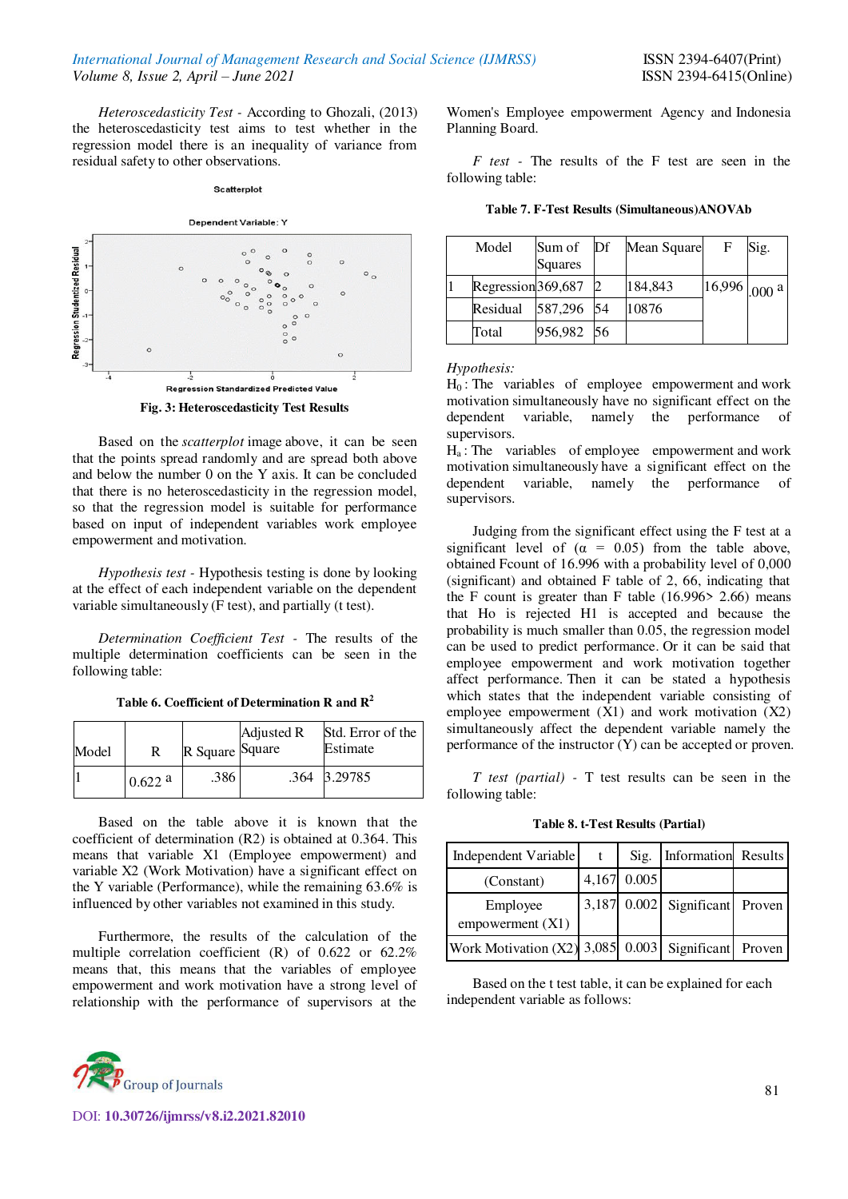*Heteroscedasticity Test -* According to Ghozali, (2013) the heteroscedasticity test aims to test whether in the regression model there is an inequality of variance from residual safety to other observations.

#### Scatterplot



**Fig. 3: Heteroscedasticity Test Results** 

Based on the *scatterplot* image above, it can be seen that the points spread randomly and are spread both above and below the number 0 on the Y axis. It can be concluded that there is no heteroscedasticity in the regression model, so that the regression model is suitable for performance based on input of independent variables work employee empowerment and motivation.

*Hypothesis test -* Hypothesis testing is done by looking at the effect of each independent variable on the dependent variable simultaneously (F test), and partially (t test).

*Determination Coefficient Test -* The results of the multiple determination coefficients can be seen in the following table:

|  | Table 6. Coefficient of Determination R and $\mathbf{R}^2$ |  |
|--|------------------------------------------------------------|--|
|  |                                                            |  |

| Model | R      | R Square Square | Adjusted R | Std. Error of the<br>Estimate |
|-------|--------|-----------------|------------|-------------------------------|
|       | 0.622a | .386            |            | .364 3.29785                  |

Based on the table above it is known that the coefficient of determination (R2) is obtained at 0.364. This means that variable X1 (Employee empowerment) and variable X2 (Work Motivation) have a significant effect on the Y variable (Performance), while the remaining 63.6% is influenced by other variables not examined in this study.

Furthermore, the results of the calculation of the multiple correlation coefficient (R) of 0.622 or 62.2% means that, this means that the variables of employee empowerment and work motivation have a strong level of relationship with the performance of supervisors at the



DOI: **10.30726/ijmrss/v8.i2.2021.82010**

Women's Employee empowerment Agency and Indonesia Planning Board.

*F test -* The results of the F test are seen in the following table:

**Table 7. F-Test Results (Simultaneous)ANOVAb** 

| Model              | Sum of<br>Squares | Df | Mean Square | $_{\rm F}$     | Sig. |
|--------------------|-------------------|----|-------------|----------------|------|
| Regression 369,687 |                   |    | 184,843     | $16,996$ 000 a |      |
| Residual           | 587,296 54        |    | 10876       |                |      |
| Total              | 956,982           | 56 |             |                |      |

*Hypothesis:* 

 $H_0$ : The variables of employee empowerment and work motivation simultaneously have no significant effect on the dependent variable, namely the performance of supervisors.

 $H_a$ : The variables of employee empowerment and work motivation simultaneously have a significant effect on the dependent variable, namely the performance of supervisors.

Judging from the significant effect using the F test at a significant level of  $(\alpha = 0.05)$  from the table above, obtained Fcount of 16.996 with a probability level of 0,000 (significant) and obtained F table of 2, 66, indicating that the F count is greater than F table  $(16.996 > 2.66)$  means that Ho is rejected H1 is accepted and because the probability is much smaller than 0.05, the regression model can be used to predict performance. Or it can be said that employee empowerment and work motivation together affect performance. Then it can be stated a hypothesis which states that the independent variable consisting of employee empowerment  $(X1)$  and work motivation  $(X2)$ simultaneously affect the dependent variable namely the performance of the instructor (Y) can be accepted or proven.

*T test (partial) -* T test results can be seen in the following table:

**Table 8. t-Test Results (Partial)** 

| Independent Variable               | t | Sig.        | Information Results            |  |
|------------------------------------|---|-------------|--------------------------------|--|
| (Constant)                         |   | 4,167 0.005 |                                |  |
| Employee<br>empowerment(X1)        |   |             | 3,187 0.002 Significant Proven |  |
| Work Motivation $(X2)$ 3,085 0.003 |   |             | Significant Proven             |  |

Based on the t test table, it can be explained for each independent variable as follows: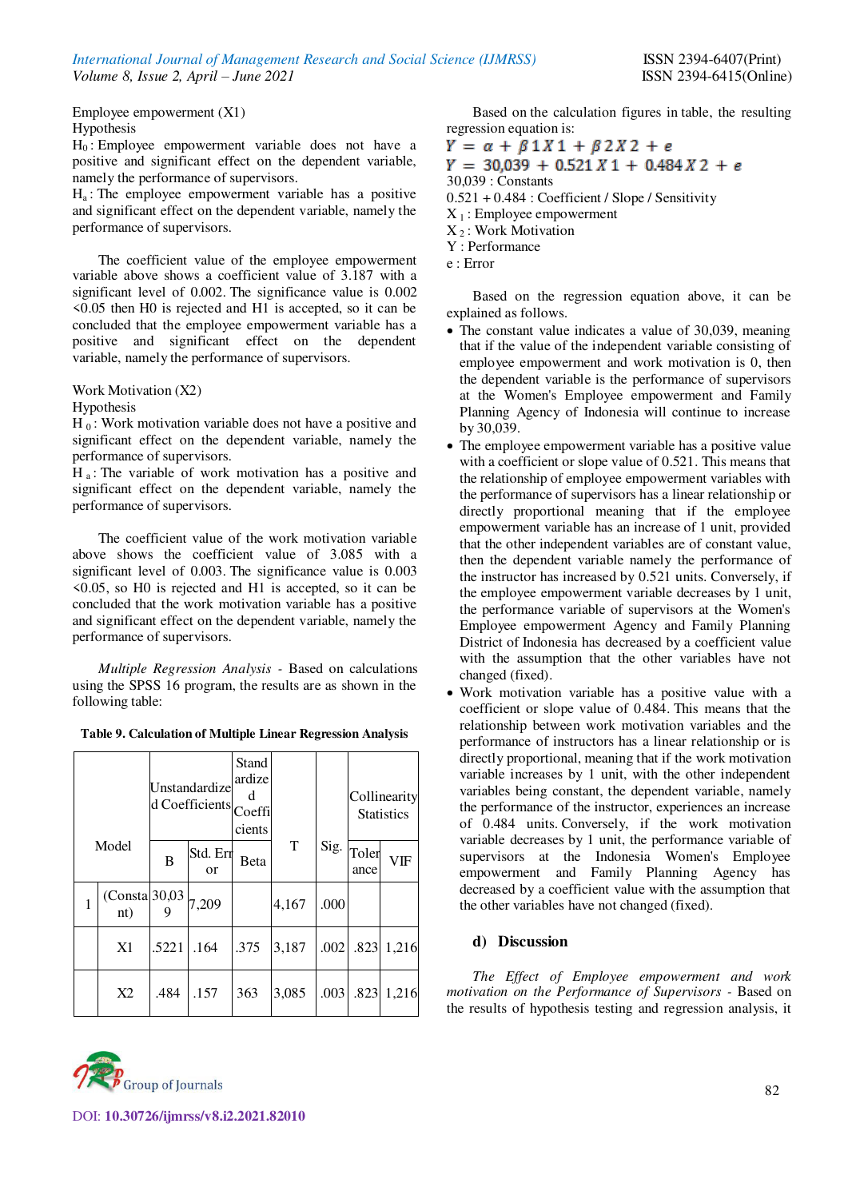Employee empowerment (X1) Hypothesis

H0 : Employee empowerment variable does not have a positive and significant effect on the dependent variable, namely the performance of supervisors.

 $H_a$ : The employee empowerment variable has a positive and significant effect on the dependent variable, namely the performance of supervisors.

The coefficient value of the employee empowerment variable above shows a coefficient value of 3.187 with a significant level of 0.002. The significance value is 0.002 <0.05 then H0 is rejected and H1 is accepted, so it can be concluded that the employee empowerment variable has a positive and significant effect on the dependent variable, namely the performance of supervisors.

Work Motivation (X2)

#### Hypothesis

 $H_0$ : Work motivation variable does not have a positive and significant effect on the dependent variable, namely the performance of supervisors.

 $H_a$ : The variable of work motivation has a positive and significant effect on the dependent variable, namely the performance of supervisors.

The coefficient value of the work motivation variable above shows the coefficient value of 3.085 with a significant level of 0.003. The significance value is 0.003 <0.05, so H0 is rejected and H1 is accepted, so it can be concluded that the work motivation variable has a positive and significant effect on the dependent variable, namely the performance of supervisors.

*Multiple Regression Analysis -* Based on calculations using the SPSS 16 program, the results are as shown in the following table:

|  |  |  | Table 9. Calculation of Multiple Linear Regression Analysis |
|--|--|--|-------------------------------------------------------------|
|--|--|--|-------------------------------------------------------------|

| Model |                       | Unstandardize<br>d Coefficients Coeffi |                       | Stand<br>ardize<br>d<br>cients |             |      | Collinearity<br><b>Statistics</b> |       |
|-------|-----------------------|----------------------------------------|-----------------------|--------------------------------|-------------|------|-----------------------------------|-------|
|       |                       | B                                      | Std. Err<br><b>or</b> | Beta                           | $\mathbf T$ |      | $Sig.$ Toler<br>ance              | VIF   |
| 1     | (Consta 30,03)<br>nt) |                                        | 7,209                 |                                | 4,167       | .000 |                                   |       |
|       | X1                    | .5221                                  | .164                  | .375                           | 3,187       | .002 | .823                              | 1,216 |
|       | X2                    | .484                                   | .157                  | 363                            | 3,085       | .003 | .823                              | 1,216 |



Based on the calculation figures in table, the resulting regression equation is:

 $Y = \alpha + \beta 1X1 + \beta 2X2 + e$  $Y = 30.039 + 0.521 X1 + 0.484 X2 + e$ 30,039 : Constants 0.521 + 0.484 : Coefficient / Slope / Sensitivity  $X_1$ : Employee empowerment  $X_2$ : Work Motivation Y : Performance e : Error

Based on the regression equation above, it can be explained as follows.

- The constant value indicates a value of 30,039, meaning that if the value of the independent variable consisting of employee empowerment and work motivation is 0, then the dependent variable is the performance of supervisors at the Women's Employee empowerment and Family Planning Agency of Indonesia will continue to increase by 30,039.
- The employee empowerment variable has a positive value with a coefficient or slope value of 0.521. This means that the relationship of employee empowerment variables with the performance of supervisors has a linear relationship or directly proportional meaning that if the employee empowerment variable has an increase of 1 unit, provided that the other independent variables are of constant value, then the dependent variable namely the performance of the instructor has increased by 0.521 units. Conversely, if the employee empowerment variable decreases by 1 unit, the performance variable of supervisors at the Women's Employee empowerment Agency and Family Planning District of Indonesia has decreased by a coefficient value with the assumption that the other variables have not changed (fixed).
- Work motivation variable has a positive value with a coefficient or slope value of 0.484. This means that the relationship between work motivation variables and the performance of instructors has a linear relationship or is directly proportional, meaning that if the work motivation variable increases by 1 unit, with the other independent variables being constant, the dependent variable, namely the performance of the instructor, experiences an increase of 0.484 units. Conversely, if the work motivation variable decreases by 1 unit, the performance variable of supervisors at the Indonesia Women's Employee empowerment and Family Planning Agency has decreased by a coefficient value with the assumption that the other variables have not changed (fixed).

# **d) Discussion**

*The Effect of Employee empowerment and work motivation on the Performance of Supervisors -* Based on the results of hypothesis testing and regression analysis, it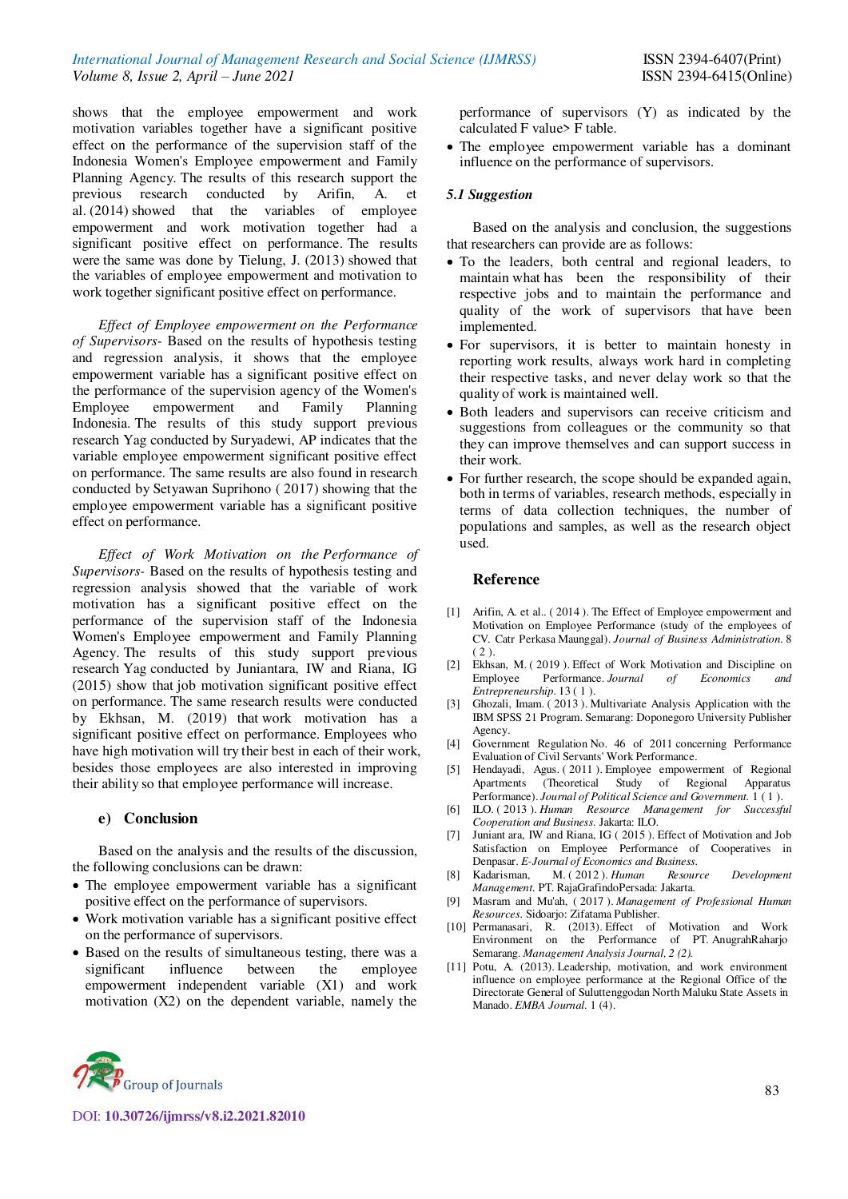# *International Journal of Management Research and Social Science (IJMRSS)* ISSN 2394-6407(Print) *Volume 8, Issue 2, April – June 2021* ISSN 2394-6415(Online)

shows that the employee empowerment and work motivation variables together have a significant positive effect on the performance of the supervision staff of the Indonesia Women's Employee empowerment and Family Planning Agency. The results of this research support the previous research conducted by Arifin, A. et al. (2014) showed that the variables of employee empowerment and work motivation together had a significant positive effect on performance. The results were the same was done by Tielung, J. (2013) showed that the variables of employee empowerment and motivation to work together significant positive effect on performance.

*Effect of Employee empowerment on the Performance of Supervisors-* Based on the results of hypothesis testing and regression analysis, it shows that the employee empowerment variable has a significant positive effect on the performance of the supervision agency of the Women's Employee empowerment and Family Planning Indonesia. The results of this study support previous research Yag conducted by Suryadewi, AP indicates that the variable employee empowerment significant positive effect on performance. The same results are also found in research conducted by Setyawan Suprihono ( 2017) showing that the employee empowerment variable has a significant positive effect on performance.

*Effect of Work Motivation on the Performance of Supervisors-* Based on the results of hypothesis testing and regression analysis showed that the variable of work motivation has a significant positive effect on the performance of the supervision staff of the Indonesia Women's Employee empowerment and Family Planning Agency. The results of this study support previous research Yag conducted by Juniantara, IW and Riana, IG (2015) show that job motivation significant positive effect on performance. The same research results were conducted by Ekhsan, M. (2019) that work motivation has a significant positive effect on performance. Employees who have high motivation will try their best in each of their work, besides those employees are also interested in improving their ability so that employee performance will increase.

#### **e) Conclusion**

Based on the analysis and the results of the discussion, the following conclusions can be drawn:

- The employee empowerment variable has a significant positive effect on the performance of supervisors.
- Work motivation variable has a significant positive effect on the performance of supervisors.
- Based on the results of simultaneous testing, there was a significant influence between the employee empowerment independent variable (X1) and work motivation (X2) on the dependent variable, namely the

performance of supervisors (Y) as indicated by the calculated F value> F table.

 The employee empowerment variable has a dominant influence on the performance of supervisors.

#### *5.1 Suggestion*

Based on the analysis and conclusion, the suggestions that researchers can provide are as follows:

- To the leaders, both central and regional leaders, to maintain what has been the responsibility of their respective jobs and to maintain the performance and quality of the work of supervisors that have been implemented.
- For supervisors, it is better to maintain honesty in reporting work results, always work hard in completing their respective tasks, and never delay work so that the quality of work is maintained well.
- Both leaders and supervisors can receive criticism and suggestions from colleagues or the community so that they can improve themselves and can support success in their work.
- For further research, the scope should be expanded again, both in terms of variables, research methods, especially in terms of data collection techniques, the number of populations and samples, as well as the research object used.

#### **Reference**

- [1] Arifin, A. et al.. (2014). The Effect of Employee empowerment and Motivation on Employee Performance (study of the employees of CV. Catr Perkasa Maunggal). *Journal of Business Administration.* 8  $(2)$ .
- [2] Ekhsan, M. (2019). Effect of Work Motivation and Discipline on Employee Performance. Journal of Economics and Performance. *Journal of Economics and Entrepreneurship.* 13 ( 1 ).
- [3] Ghozali, Imam. ( 2013 ). Multivariate Analysis Application with the IBM SPSS 21 Program. Semarang: Doponegoro University Publisher Agency.
- [4] Government Regulation No. 46 of 2011 concerning Performance Evaluation of Civil Servants' Work Performance.
- [5] Hendayadi, Agus. ( 2011 ). Employee empowerment of Regional Apartments (Theoretical Study of Regional Apparatus Performance). *Journal of Political Science and Government.* 1 ( 1 ).
- [6] ILO. ( 2013 ). *Human Resource Management for Successful Cooperation and Business.* Jakarta: ILO.
- [7] Juniant ara, IW and Riana, IG ( 2015 ). Effect of Motivation and Job Satisfaction on Employee Performance of Cooperatives in Denpasar. *E-Journal of Economics and Business.*
- [8] Kadarisman, M. ( 2012 ). *Human Resource Development Management.* PT. RajaGrafindoPersada: Jakarta.
- [9] Masram and Mu'ah, ( 2017 ). *Management of Professional Human Resources.* Sidoarjo: Zifatama Publisher.
- [10] Permanasari, R. (2013). Effect of Motivation and Work Environment on the Performance of PT. AnugrahRaharjo Semarang. *Management Analysis Journal, 2 (2).*
- [11] Potu, A. (2013). Leadership, motivation, and work environment influence on employee performance at the Regional Office of the Directorate General of Suluttenggodan North Maluku State Assets in Manado. *EMBA Journal.* 1 (4).



DOI: **10.30726/ijmrss/v8.i2.2021.82010**